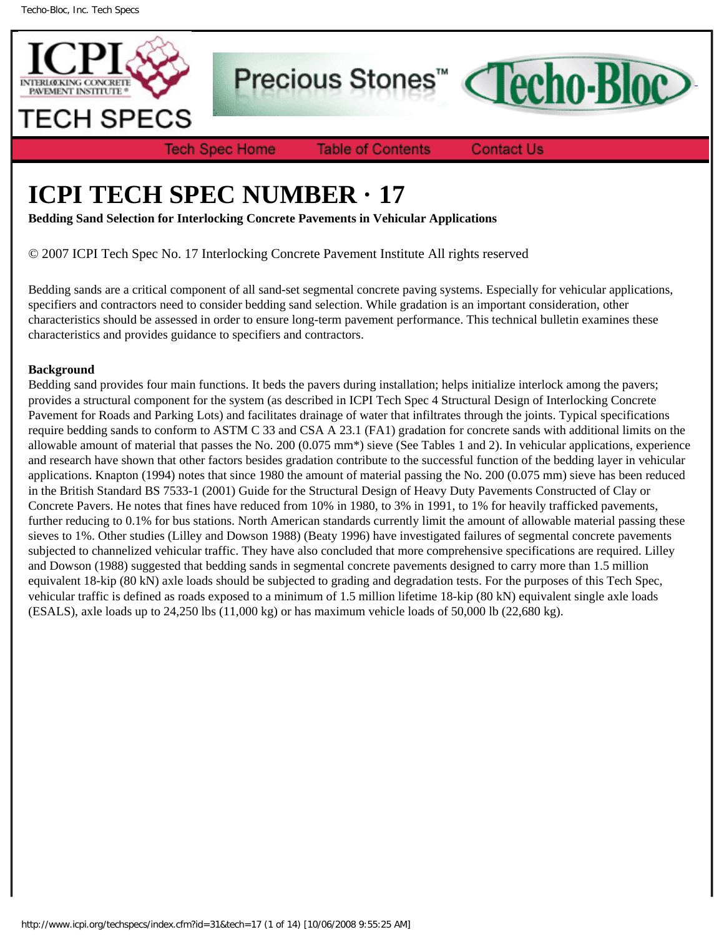

Precious Stones<sup>™</sup>

**Tech Spec Home** 

**Table of Contents** 

**Contact Us** 

**Techo-Bloc** 

# **ICPI TECH SPEC NUMBER · 17**

**Bedding Sand Selection for Interlocking Concrete Pavements in Vehicular Applications**

© 2007 ICPI Tech Spec No. 17 Interlocking Concrete Pavement Institute All rights reserved

Bedding sands are a critical component of all sand-set segmental concrete paving systems. Especially for vehicular applications, specifiers and contractors need to consider bedding sand selection. While gradation is an important consideration, other characteristics should be assessed in order to ensure long-term pavement performance. This technical bulletin examines these characteristics and provides guidance to specifiers and contractors.

### **Background**

Bedding sand provides four main functions. It beds the pavers during installation; helps initialize interlock among the pavers; provides a structural component for the system (as described in ICPI Tech Spec 4 Structural Design of Interlocking Concrete Pavement for Roads and Parking Lots) and facilitates drainage of water that infiltrates through the joints. Typical specifications require bedding sands to conform to ASTM C 33 and CSA A 23.1 (FA1) gradation for concrete sands with additional limits on the allowable amount of material that passes the No. 200 (0.075 mm\*) sieve (See Tables 1 and 2). In vehicular applications, experience and research have shown that other factors besides gradation contribute to the successful function of the bedding layer in vehicular applications. Knapton (1994) notes that since 1980 the amount of material passing the No. 200 (0.075 mm) sieve has been reduced in the British Standard BS 7533-1 (2001) Guide for the Structural Design of Heavy Duty Pavements Constructed of Clay or Concrete Pavers. He notes that fines have reduced from 10% in 1980, to 3% in 1991, to 1% for heavily trafficked pavements, further reducing to 0.1% for bus stations. North American standards currently limit the amount of allowable material passing these sieves to 1%. Other studies (Lilley and Dowson 1988) (Beaty 1996) have investigated failures of segmental concrete pavements subjected to channelized vehicular traffic. They have also concluded that more comprehensive specifications are required. Lilley and Dowson (1988) suggested that bedding sands in segmental concrete pavements designed to carry more than 1.5 million equivalent 18-kip (80 kN) axle loads should be subjected to grading and degradation tests. For the purposes of this Tech Spec, vehicular traffic is defined as roads exposed to a minimum of 1.5 million lifetime 18-kip (80 kN) equivalent single axle loads (ESALS), axle loads up to 24,250 lbs (11,000 kg) or has maximum vehicle loads of 50,000 lb (22,680 kg).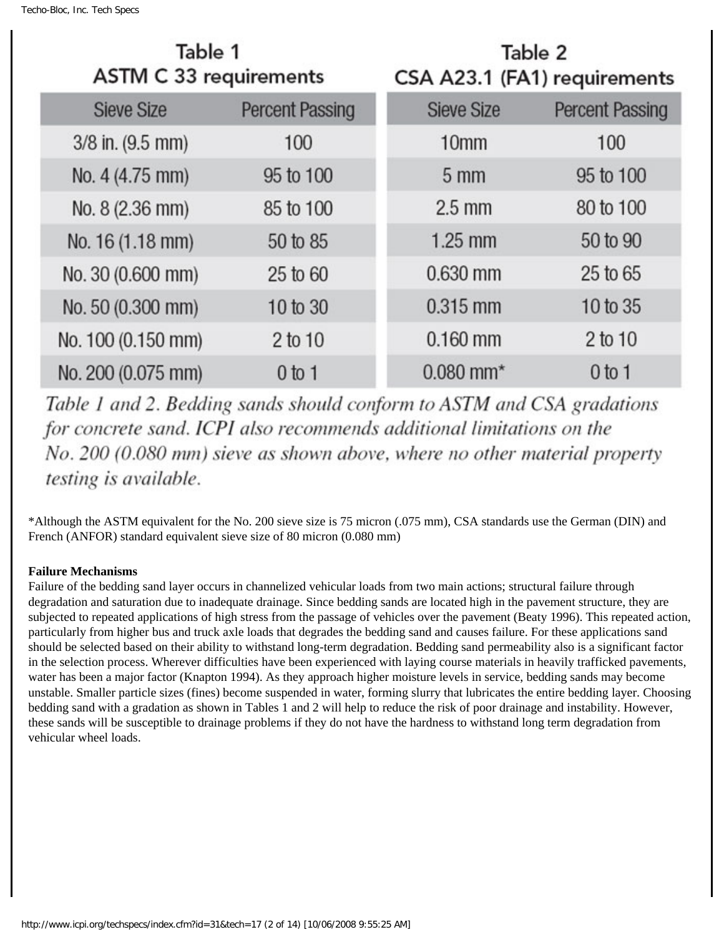| Table 1<br><b>ASTM C 33 requirements</b> |                        | Table 2<br>CSA A23.1 (FA1) requirements |                        |  |
|------------------------------------------|------------------------|-----------------------------------------|------------------------|--|
| <b>Sieve Size</b>                        | <b>Percent Passing</b> | <b>Sieve Size</b>                       | <b>Percent Passing</b> |  |
| $3/8$ in. $(9.5$ mm)                     | 100                    | 10 <sub>mm</sub>                        | 100                    |  |
| No. 4 (4.75 mm)                          | 95 to 100              | 5 <sub>mm</sub>                         | 95 to 100              |  |
| No. 8 (2.36 mm)                          | 85 to 100              | $2.5$ mm                                | 80 to 100              |  |
| No. 16 (1.18 mm)                         | 50 to 85               | $1.25$ mm                               | 50 to 90               |  |
| No. 30 (0.600 mm)                        | 25 to 60               | 0.630 mm                                | 25 to 65               |  |
| No. 50 (0.300 mm)                        | 10 to 30               | $0.315$ mm                              | 10 to 35               |  |
| No. 100 (0.150 mm)                       | 2 to 10                | $0.160$ mm                              | 2 to 10                |  |
| No. 200 (0.075 mm)                       | $0$ to 1               | $0.080$ mm <sup>*</sup>                 | $0$ to 1               |  |

Table 1 and 2. Bedding sands should conform to ASTM and CSA gradations for concrete sand. ICPI also recommends additional limitations on the No. 200 (0.080 mm) sieve as shown above, where no other material property testing is available.

\*Although the ASTM equivalent for the No. 200 sieve size is 75 micron (.075 mm), CSA standards use the German (DIN) and French (ANFOR) standard equivalent sieve size of 80 micron (0.080 mm)

## **Failure Mechanisms**

Failure of the bedding sand layer occurs in channelized vehicular loads from two main actions; structural failure through degradation and saturation due to inadequate drainage. Since bedding sands are located high in the pavement structure, they are subjected to repeated applications of high stress from the passage of vehicles over the pavement (Beaty 1996). This repeated action, particularly from higher bus and truck axle loads that degrades the bedding sand and causes failure. For these applications sand should be selected based on their ability to withstand long-term degradation. Bedding sand permeability also is a significant factor in the selection process. Wherever difficulties have been experienced with laying course materials in heavily trafficked pavements, water has been a major factor (Knapton 1994). As they approach higher moisture levels in service, bedding sands may become unstable. Smaller particle sizes (fines) become suspended in water, forming slurry that lubricates the entire bedding layer. Choosing bedding sand with a gradation as shown in Tables 1 and 2 will help to reduce the risk of poor drainage and instability. However, these sands will be susceptible to drainage problems if they do not have the hardness to withstand long term degradation from vehicular wheel loads.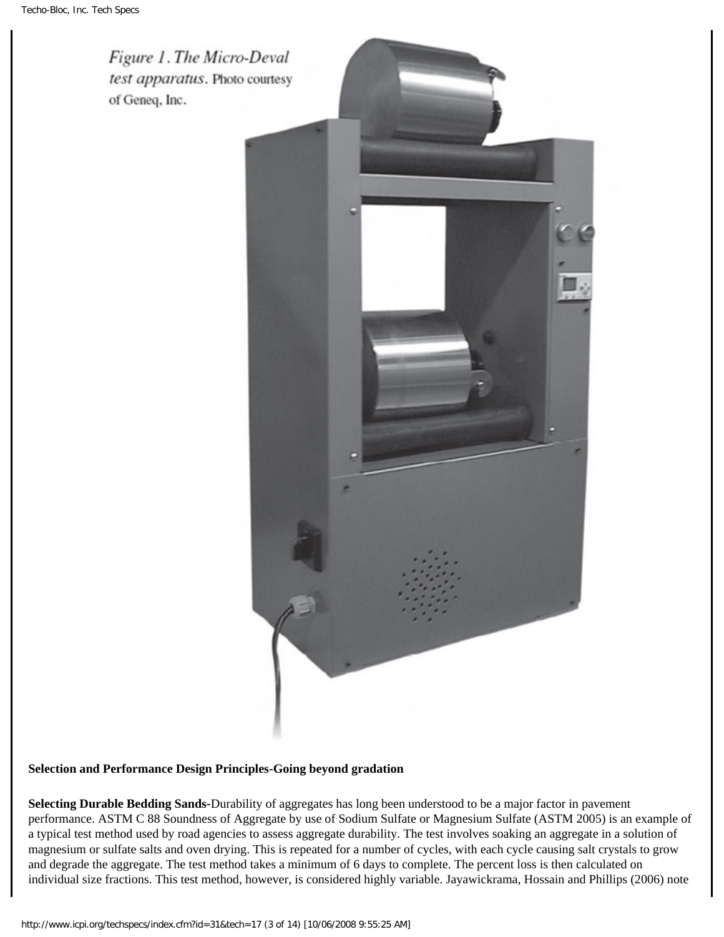

## **Selection and Performance Design Principles-Going beyond gradation**

**Selecting Durable Bedding Sands-**Durability of aggregates has long been understood to be a major factor in pavement performance. ASTM C 88 Soundness of Aggregate by use of Sodium Sulfate or Magnesium Sulfate (ASTM 2005) is an example of a typical test method used by road agencies to assess aggregate durability. The test involves soaking an aggregate in a solution of magnesium or sulfate salts and oven drying. This is repeated for a number of cycles, with each cycle causing salt crystals to grow and degrade the aggregate. The test method takes a minimum of 6 days to complete. The percent loss is then calculated on individual size fractions. This test method, however, is considered highly variable. Jayawickrama, Hossain and Phillips (2006) note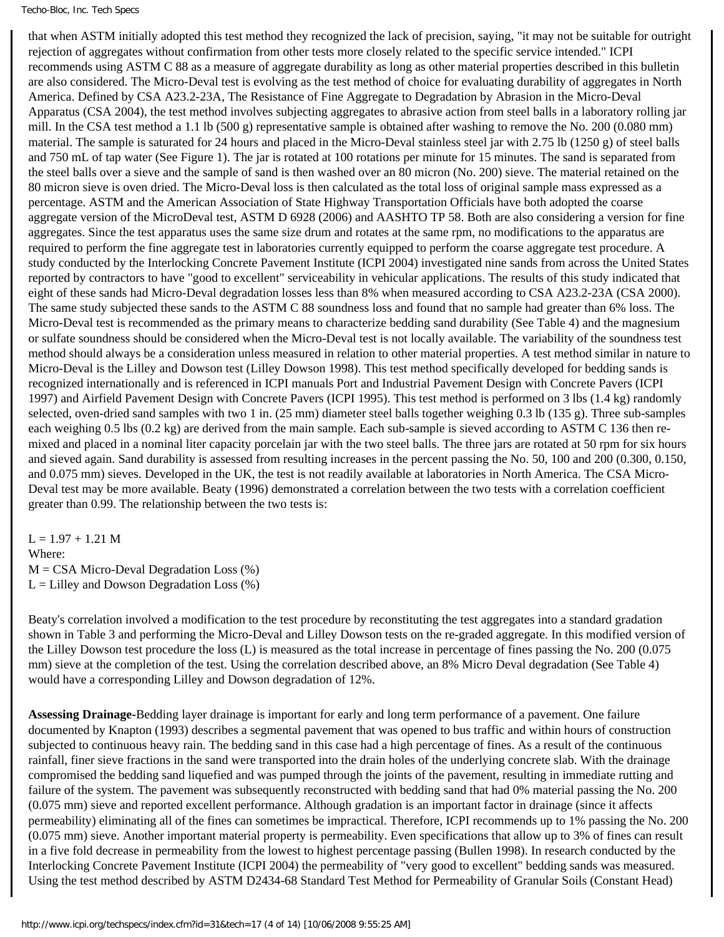that when ASTM initially adopted this test method they recognized the lack of precision, saying, "it may not be suitable for outright rejection of aggregates without confirmation from other tests more closely related to the specific service intended." ICPI recommends using ASTM C 88 as a measure of aggregate durability as long as other material properties described in this bulletin are also considered. The Micro-Deval test is evolving as the test method of choice for evaluating durability of aggregates in North America. Defined by CSA A23.2-23A, The Resistance of Fine Aggregate to Degradation by Abrasion in the Micro-Deval Apparatus (CSA 2004), the test method involves subjecting aggregates to abrasive action from steel balls in a laboratory rolling jar mill. In the CSA test method a 1.1 lb (500 g) representative sample is obtained after washing to remove the No. 200 (0.080 mm) material. The sample is saturated for 24 hours and placed in the Micro-Deval stainless steel jar with 2.75 lb (1250 g) of steel balls and 750 mL of tap water (See Figure 1). The jar is rotated at 100 rotations per minute for 15 minutes. The sand is separated from the steel balls over a sieve and the sample of sand is then washed over an 80 micron (No. 200) sieve. The material retained on the 80 micron sieve is oven dried. The Micro-Deval loss is then calculated as the total loss of original sample mass expressed as a percentage. ASTM and the American Association of State Highway Transportation Officials have both adopted the coarse aggregate version of the MicroDeval test, ASTM D 6928 (2006) and AASHTO TP 58. Both are also considering a version for fine aggregates. Since the test apparatus uses the same size drum and rotates at the same rpm, no modifications to the apparatus are required to perform the fine aggregate test in laboratories currently equipped to perform the coarse aggregate test procedure. A study conducted by the Interlocking Concrete Pavement Institute (ICPI 2004) investigated nine sands from across the United States reported by contractors to have "good to excellent" serviceability in vehicular applications. The results of this study indicated that eight of these sands had Micro-Deval degradation losses less than 8% when measured according to CSA A23.2-23A (CSA 2000). The same study subjected these sands to the ASTM C 88 soundness loss and found that no sample had greater than 6% loss. The Micro-Deval test is recommended as the primary means to characterize bedding sand durability (See Table 4) and the magnesium or sulfate soundness should be considered when the Micro-Deval test is not locally available. The variability of the soundness test method should always be a consideration unless measured in relation to other material properties. A test method similar in nature to Micro-Deval is the Lilley and Dowson test (Lilley Dowson 1998). This test method specifically developed for bedding sands is recognized internationally and is referenced in ICPI manuals Port and Industrial Pavement Design with Concrete Pavers (ICPI 1997) and Airfield Pavement Design with Concrete Pavers (ICPI 1995). This test method is performed on 3 lbs (1.4 kg) randomly selected, oven-dried sand samples with two 1 in. (25 mm) diameter steel balls together weighing 0.3 lb (135 g). Three sub-samples each weighing 0.5 lbs (0.2 kg) are derived from the main sample. Each sub-sample is sieved according to ASTM C 136 then remixed and placed in a nominal liter capacity porcelain jar with the two steel balls. The three jars are rotated at 50 rpm for six hours and sieved again. Sand durability is assessed from resulting increases in the percent passing the No. 50, 100 and 200 (0.300, 0.150, and 0.075 mm) sieves. Developed in the UK, the test is not readily available at laboratories in North America. The CSA Micro-Deval test may be more available. Beaty (1996) demonstrated a correlation between the two tests with a correlation coefficient greater than 0.99. The relationship between the two tests is:

 $L = 1.97 + 1.21$  M Where:  $M = CSA$  Micro-Deval Degradation Loss  $(\%)$  $L =$  Lilley and Dowson Degradation Loss  $(\%)$ 

Beaty's correlation involved a modification to the test procedure by reconstituting the test aggregates into a standard gradation shown in Table 3 and performing the Micro-Deval and Lilley Dowson tests on the re-graded aggregate. In this modified version of the Lilley Dowson test procedure the loss (L) is measured as the total increase in percentage of fines passing the No. 200 (0.075 mm) sieve at the completion of the test. Using the correlation described above, an 8% Micro Deval degradation (See Table 4) would have a corresponding Lilley and Dowson degradation of 12%.

**Assessing Drainage-**Bedding layer drainage is important for early and long term performance of a pavement. One failure documented by Knapton (1993) describes a segmental pavement that was opened to bus traffic and within hours of construction subjected to continuous heavy rain. The bedding sand in this case had a high percentage of fines. As a result of the continuous rainfall, finer sieve fractions in the sand were transported into the drain holes of the underlying concrete slab. With the drainage compromised the bedding sand liquefied and was pumped through the joints of the pavement, resulting in immediate rutting and failure of the system. The pavement was subsequently reconstructed with bedding sand that had 0% material passing the No. 200 (0.075 mm) sieve and reported excellent performance. Although gradation is an important factor in drainage (since it affects permeability) eliminating all of the fines can sometimes be impractical. Therefore, ICPI recommends up to 1% passing the No. 200 (0.075 mm) sieve. Another important material property is permeability. Even specifications that allow up to 3% of fines can result in a five fold decrease in permeability from the lowest to highest percentage passing (Bullen 1998). In research conducted by the Interlocking Concrete Pavement Institute (ICPI 2004) the permeability of "very good to excellent" bedding sands was measured. Using the test method described by ASTM D2434-68 Standard Test Method for Permeability of Granular Soils (Constant Head)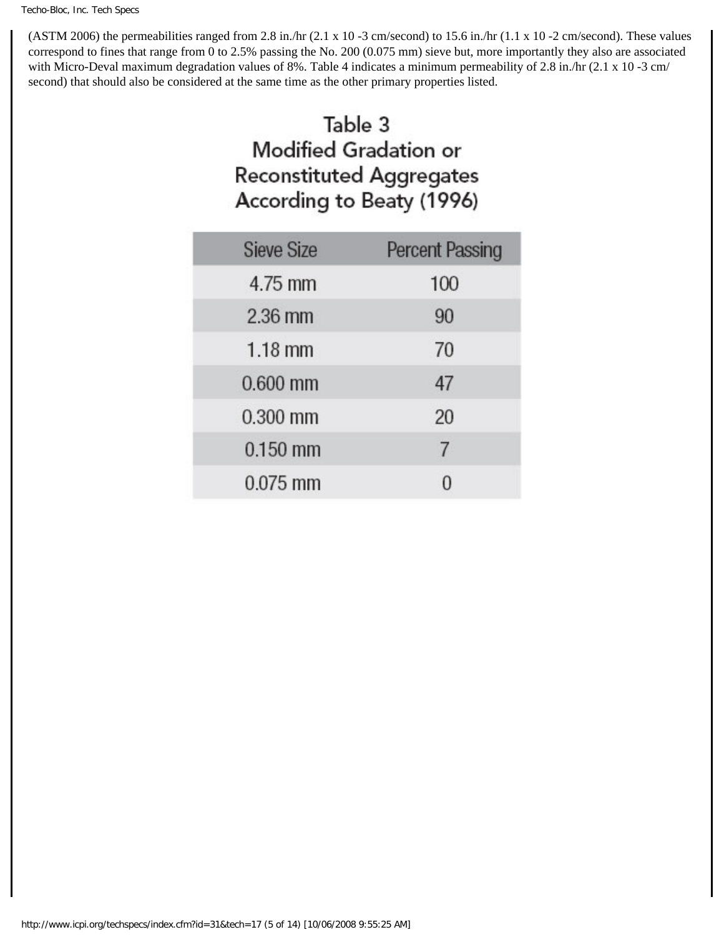(ASTM 2006) the permeabilities ranged from 2.8 in./hr (2.1 x 10 -3 cm/second) to 15.6 in./hr (1.1 x 10 -2 cm/second). These values correspond to fines that range from 0 to 2.5% passing the No. 200 (0.075 mm) sieve but, more importantly they also are associated with Micro-Deval maximum degradation values of 8%. Table 4 indicates a minimum permeability of 2.8 in./hr (2.1 x 10 -3 cm/ second) that should also be considered at the same time as the other primary properties listed.

# Table 3 **Modified Gradation or Reconstituted Aggregates** According to Beaty (1996)

| <b>Sieve Size</b> | <b>Percent Passing</b> |
|-------------------|------------------------|
| 4.75 mm           | 100                    |
| $2.36$ mm         | 90                     |
| $1.18$ mm         | 70                     |
| $0.600$ mm        | 47                     |
| $0.300$ mm        | 20                     |
| $0.150$ mm        | 7                      |
| $0.075$ mm        |                        |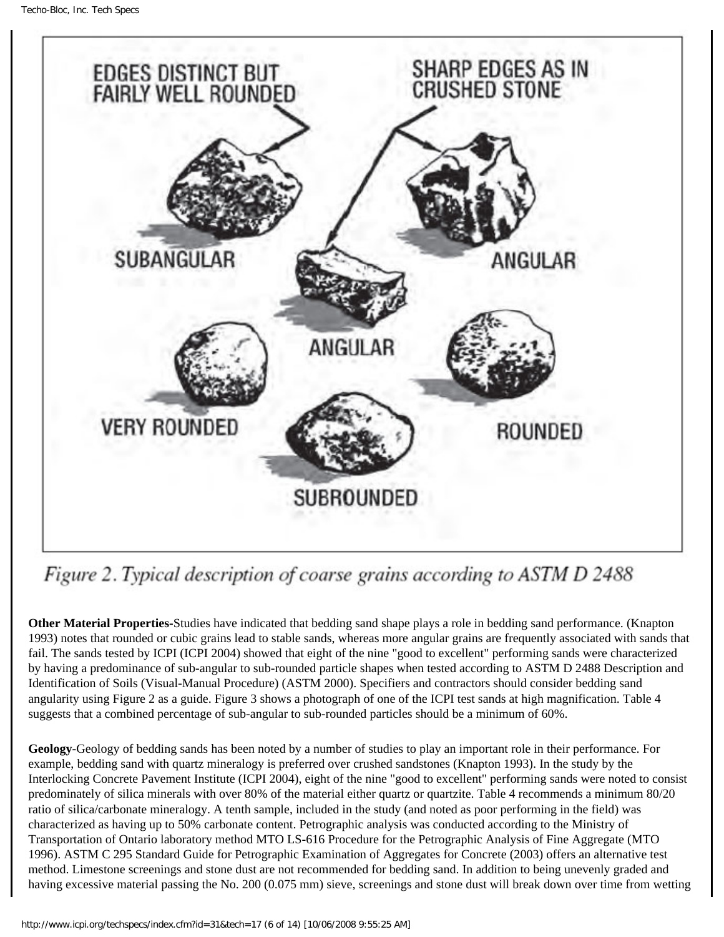

# Figure 2. Typical description of coarse grains according to ASTM D 2488

**Other Material Properties-**Studies have indicated that bedding sand shape plays a role in bedding sand performance. (Knapton 1993) notes that rounded or cubic grains lead to stable sands, whereas more angular grains are frequently associated with sands that fail. The sands tested by ICPI (ICPI 2004) showed that eight of the nine "good to excellent" performing sands were characterized by having a predominance of sub-angular to sub-rounded particle shapes when tested according to ASTM D 2488 Description and Identification of Soils (Visual-Manual Procedure) (ASTM 2000). Specifiers and contractors should consider bedding sand angularity using Figure 2 as a guide. Figure 3 shows a photograph of one of the ICPI test sands at high magnification. Table 4 suggests that a combined percentage of sub-angular to sub-rounded particles should be a minimum of 60%.

**Geology-**Geology of bedding sands has been noted by a number of studies to play an important role in their performance. For example, bedding sand with quartz mineralogy is preferred over crushed sandstones (Knapton 1993). In the study by the Interlocking Concrete Pavement Institute (ICPI 2004), eight of the nine "good to excellent" performing sands were noted to consist predominately of silica minerals with over 80% of the material either quartz or quartzite. Table 4 recommends a minimum 80/20 ratio of silica/carbonate mineralogy. A tenth sample, included in the study (and noted as poor performing in the field) was characterized as having up to 50% carbonate content. Petrographic analysis was conducted according to the Ministry of Transportation of Ontario laboratory method MTO LS-616 Procedure for the Petrographic Analysis of Fine Aggregate (MTO 1996). ASTM C 295 Standard Guide for Petrographic Examination of Aggregates for Concrete (2003) offers an alternative test method. Limestone screenings and stone dust are not recommended for bedding sand. In addition to being unevenly graded and having excessive material passing the No. 200 (0.075 mm) sieve, screenings and stone dust will break down over time from wetting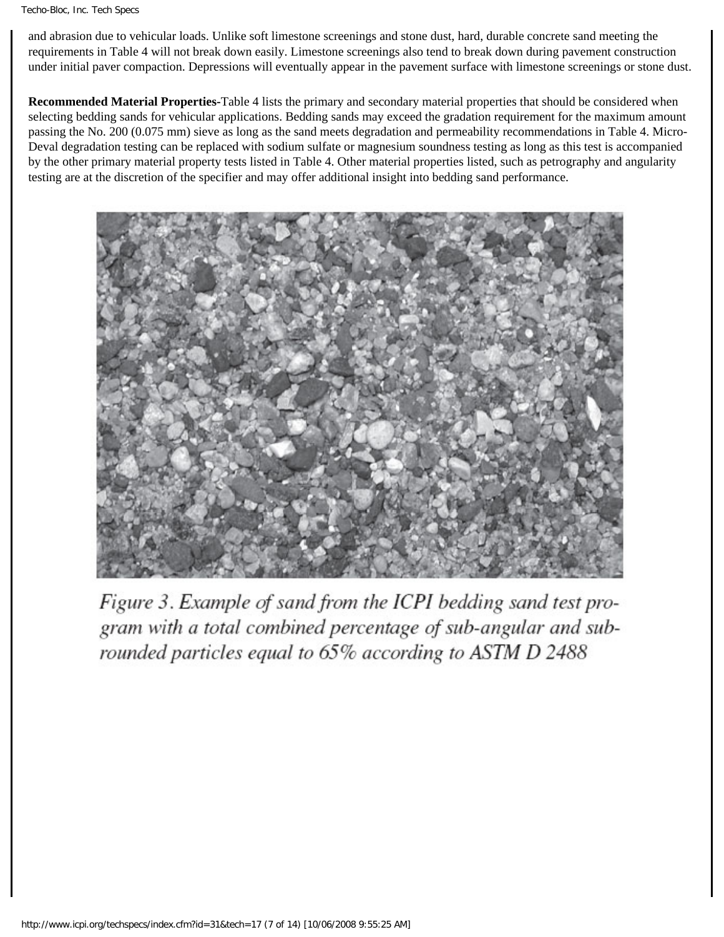#### Techo-Bloc, Inc. Tech Specs

and abrasion due to vehicular loads. Unlike soft limestone screenings and stone dust, hard, durable concrete sand meeting the requirements in Table 4 will not break down easily. Limestone screenings also tend to break down during pavement construction under initial paver compaction. Depressions will eventually appear in the pavement surface with limestone screenings or stone dust.

**Recommended Material Properties-**Table 4 lists the primary and secondary material properties that should be considered when selecting bedding sands for vehicular applications. Bedding sands may exceed the gradation requirement for the maximum amount passing the No. 200 (0.075 mm) sieve as long as the sand meets degradation and permeability recommendations in Table 4. Micro-Deval degradation testing can be replaced with sodium sulfate or magnesium soundness testing as long as this test is accompanied by the other primary material property tests listed in Table 4. Other material properties listed, such as petrography and angularity testing are at the discretion of the specifier and may offer additional insight into bedding sand performance.



Figure 3. Example of sand from the ICPI bedding sand test program with a total combined percentage of sub-angular and subrounded particles equal to 65% according to ASTM D 2488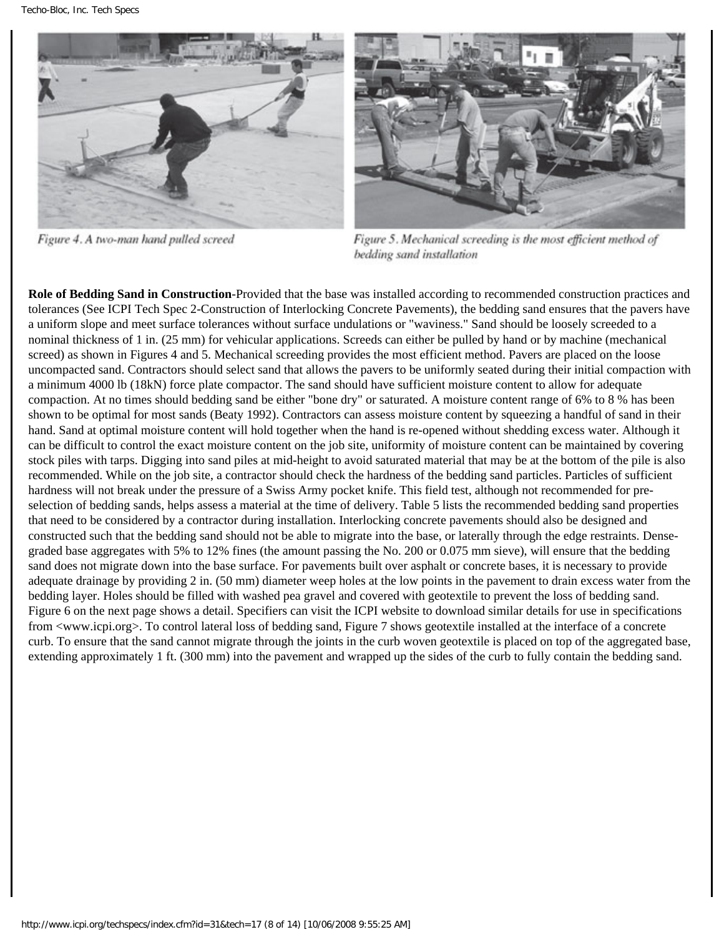

Figure 4. A two-man hand pulled screed



Figure 5. Mechanical screeding is the most efficient method of bedding sand installation

**Role of Bedding Sand in Construction**-Provided that the base was installed according to recommended construction practices and tolerances (See ICPI Tech Spec 2-Construction of Interlocking Concrete Pavements), the bedding sand ensures that the pavers have a uniform slope and meet surface tolerances without surface undulations or "waviness." Sand should be loosely screeded to a nominal thickness of 1 in. (25 mm) for vehicular applications. Screeds can either be pulled by hand or by machine (mechanical screed) as shown in Figures 4 and 5. Mechanical screeding provides the most efficient method. Pavers are placed on the loose uncompacted sand. Contractors should select sand that allows the pavers to be uniformly seated during their initial compaction with a minimum 4000 lb (18kN) force plate compactor. The sand should have sufficient moisture content to allow for adequate compaction. At no times should bedding sand be either "bone dry" or saturated. A moisture content range of 6% to 8 % has been shown to be optimal for most sands (Beaty 1992). Contractors can assess moisture content by squeezing a handful of sand in their hand. Sand at optimal moisture content will hold together when the hand is re-opened without shedding excess water. Although it can be difficult to control the exact moisture content on the job site, uniformity of moisture content can be maintained by covering stock piles with tarps. Digging into sand piles at mid-height to avoid saturated material that may be at the bottom of the pile is also recommended. While on the job site, a contractor should check the hardness of the bedding sand particles. Particles of sufficient hardness will not break under the pressure of a Swiss Army pocket knife. This field test, although not recommended for preselection of bedding sands, helps assess a material at the time of delivery. Table 5 lists the recommended bedding sand properties that need to be considered by a contractor during installation. Interlocking concrete pavements should also be designed and constructed such that the bedding sand should not be able to migrate into the base, or laterally through the edge restraints. Densegraded base aggregates with 5% to 12% fines (the amount passing the No. 200 or 0.075 mm sieve), will ensure that the bedding sand does not migrate down into the base surface. For pavements built over asphalt or concrete bases, it is necessary to provide adequate drainage by providing 2 in. (50 mm) diameter weep holes at the low points in the pavement to drain excess water from the bedding layer. Holes should be filled with washed pea gravel and covered with geotextile to prevent the loss of bedding sand. Figure 6 on the next page shows a detail. Specifiers can visit the ICPI website to download similar details for use in specifications from <www.icpi.org>. To control lateral loss of bedding sand, Figure 7 shows geotextile installed at the interface of a concrete curb. To ensure that the sand cannot migrate through the joints in the curb woven geotextile is placed on top of the aggregated base, extending approximately 1 ft. (300 mm) into the pavement and wrapped up the sides of the curb to fully contain the bedding sand.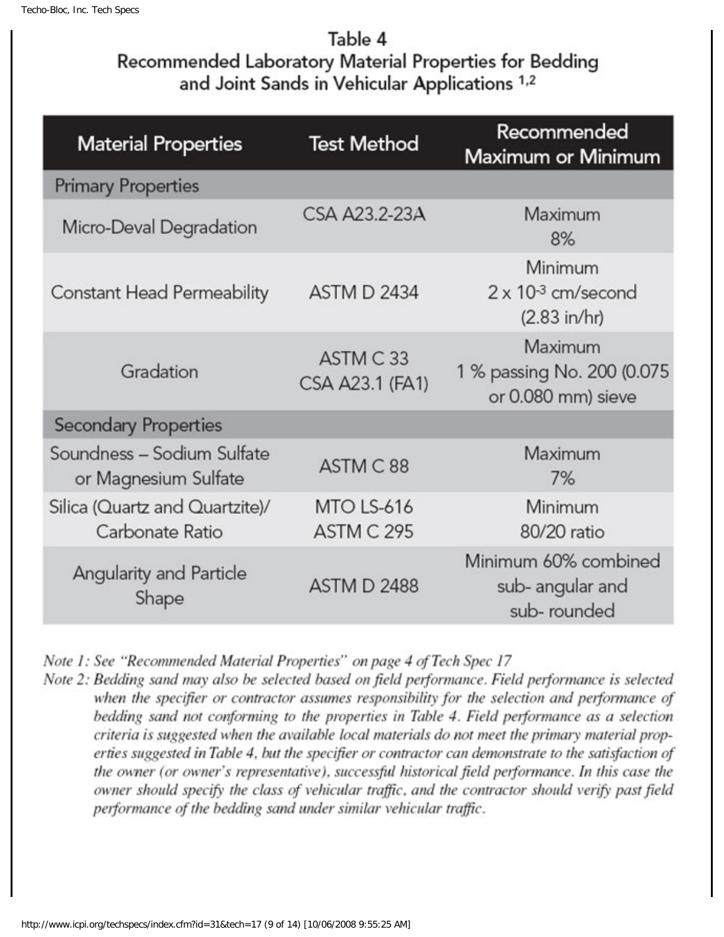## Table 4 Recommended Laboratory Material Properties for Bedding and Joint Sands in Vehicular Applications 1,2

| <b>Material Properties</b>                         | <b>Test Method</b>                     | Recommended<br>Maximum or Minimum                                 |  |
|----------------------------------------------------|----------------------------------------|-------------------------------------------------------------------|--|
| <b>Primary Properties</b>                          |                                        |                                                                   |  |
| Micro-Deval Degradation                            | CSA A23.2-23A                          | Maximum<br>8%                                                     |  |
| <b>Constant Head Permeability</b>                  | <b>ASTM D 2434</b>                     | Minimum<br>$2 \times 10^{-3}$ cm/second<br>$(2.83 \text{ in/hr})$ |  |
| Gradation                                          | ASTM C33<br>CSA A23.1 (FA1)            | Maximum<br>1 % passing No. 200 (0.075)<br>or 0.080 mm) sieve      |  |
| <b>Secondary Properties</b>                        |                                        |                                                                   |  |
| Soundness - Sodium Sulfate<br>or Magnesium Sulfate | Maximum<br>ASTM C88<br>7%              |                                                                   |  |
| Silica (Quartz and Quartzite)/<br>Carbonate Ratio  | <b>MTO LS-616</b><br><b>ASTM C 295</b> | Minimum<br>80/20 ratio                                            |  |
| <b>Angularity and Particle</b><br>Shape            | <b>ASTM D 2488</b>                     | Minimum 60% combined<br>sub- angular and<br>sub-rounded           |  |

Note 1: See "Recommended Material Properties" on page 4 of Tech Spec 17

Note 2: Bedding sand may also be selected based on field performance. Field performance is selected when the specifier or contractor assumes responsibility for the selection and performance of bedding sand not conforming to the properties in Table 4. Field performance as a selection criteria is suggested when the available local materials do not meet the primary material properties suggested in Table 4, but the specifier or contractor can demonstrate to the satisfaction of the owner (or owner's representative), successful historical field performance. In this case the owner should specify the class of vehicular traffic, and the contractor should verify past field performance of the bedding sand under similar vehicular traffic.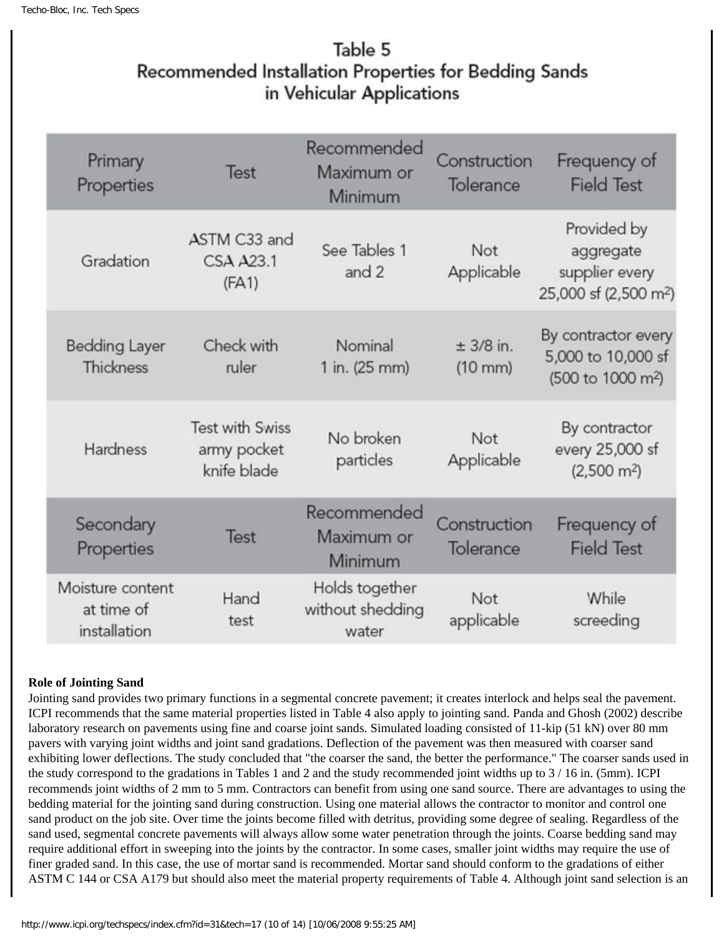## Table 5 Recommended Installation Properties for Bedding Sands in Vehicular Applications

| Primary<br>Properties                          | Test                                                 | Recommended<br>Maximum or<br>Minimum        | Construction<br>Tolerance        | Frequency of<br><b>Field Test</b>                                               |
|------------------------------------------------|------------------------------------------------------|---------------------------------------------|----------------------------------|---------------------------------------------------------------------------------|
| Gradation                                      | ASTM C33 and<br><b>CSA A23.1</b><br>(FA1)            | See Tables 1<br>and 2                       | Not<br>Applicable                | Provided by<br>aggregate<br>supplier every<br>25,000 sf (2,500 m <sup>2</sup> ) |
| <b>Bedding Layer</b><br>Thickness              | Check with<br>ruler                                  | Nominal<br>1 in. (25 mm)                    | $± 3/8$ in.<br>$(10 \text{ mm})$ | By contractor every<br>5,000 to 10,000 sf<br>(500 to 1000 m <sup>2</sup> )      |
| Hardness                                       | <b>Test with Swiss</b><br>army pocket<br>knife blade | No broken<br>particles                      | Not<br>Applicable                | By contractor<br>every 25,000 sf<br>$(2,500 \text{ m}^2)$                       |
| Secondary<br>Properties                        | Test                                                 | Recommended<br>Maximum or<br>Minimum        | Construction<br>Tolerance        | Frequency of<br><b>Field Test</b>                                               |
| Moisture content<br>at time of<br>installation | Hand<br>test                                         | Holds together<br>without shedding<br>water | Not<br>applicable                | While<br>screeding                                                              |

### **Role of Jointing Sand**

Jointing sand provides two primary functions in a segmental concrete pavement; it creates interlock and helps seal the pavement. ICPI recommends that the same material properties listed in Table 4 also apply to jointing sand. Panda and Ghosh (2002) describe laboratory research on pavements using fine and coarse joint sands. Simulated loading consisted of 11-kip (51 kN) over 80 mm pavers with varying joint widths and joint sand gradations. Deflection of the pavement was then measured with coarser sand exhibiting lower deflections. The study concluded that "the coarser the sand, the better the performance." The coarser sands used in the study correspond to the gradations in Tables 1 and 2 and the study recommended joint widths up to 3 / 16 in. (5mm). ICPI recommends joint widths of 2 mm to 5 mm. Contractors can benefit from using one sand source. There are advantages to using the bedding material for the jointing sand during construction. Using one material allows the contractor to monitor and control one sand product on the job site. Over time the joints become filled with detritus, providing some degree of sealing. Regardless of the sand used, segmental concrete pavements will always allow some water penetration through the joints. Coarse bedding sand may require additional effort in sweeping into the joints by the contractor. In some cases, smaller joint widths may require the use of finer graded sand. In this case, the use of mortar sand is recommended. Mortar sand should conform to the gradations of either ASTM C 144 or CSA A179 but should also meet the material property requirements of Table 4. Although joint sand selection is an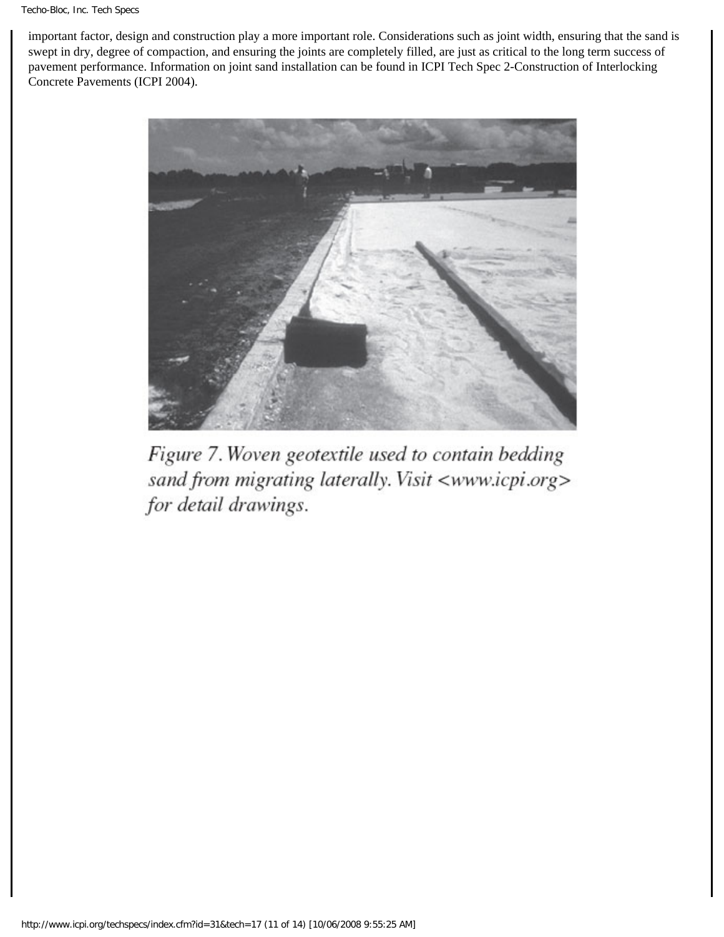important factor, design and construction play a more important role. Considerations such as joint width, ensuring that the sand is swept in dry, degree of compaction, and ensuring the joints are completely filled, are just as critical to the long term success of pavement performance. Information on joint sand installation can be found in ICPI Tech Spec 2-Construction of Interlocking Concrete Pavements (ICPI 2004).



Figure 7. Woven geotextile used to contain bedding sand from migrating laterally. Visit <www.icpi.org> for detail drawings.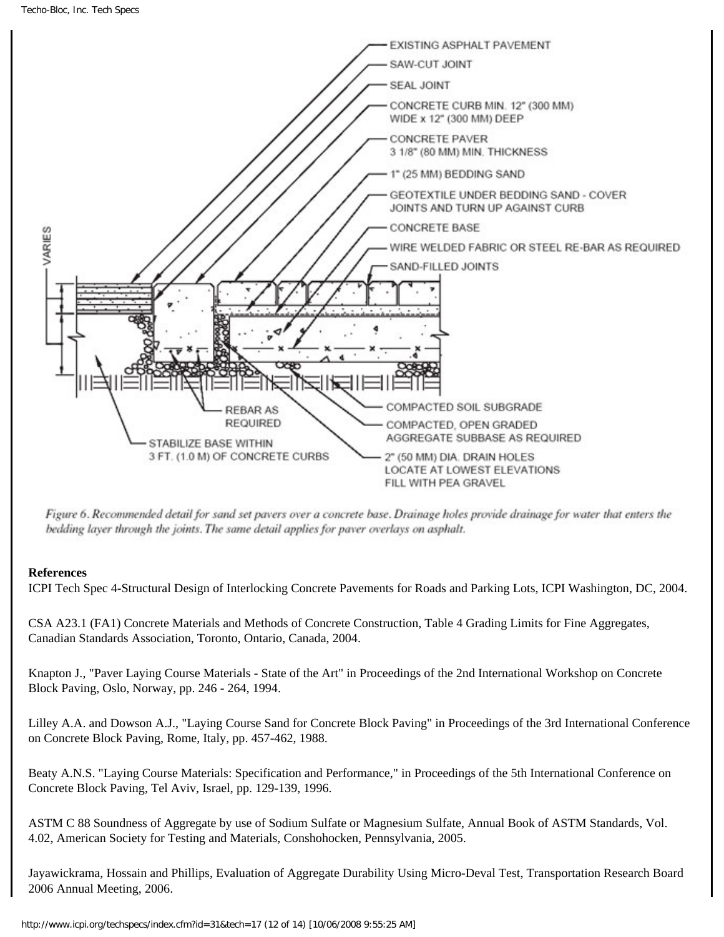

Figure 6. Recommended detail for sand set pavers over a concrete base. Drainage holes provide drainage for water that enters the bedding layer through the joints. The same detail applies for paver overlays on asphalt.

### **References**

ICPI Tech Spec 4-Structural Design of Interlocking Concrete Pavements for Roads and Parking Lots, ICPI Washington, DC, 2004.

CSA A23.1 (FA1) Concrete Materials and Methods of Concrete Construction, Table 4 Grading Limits for Fine Aggregates, Canadian Standards Association, Toronto, Ontario, Canada, 2004.

Knapton J., "Paver Laying Course Materials - State of the Art" in Proceedings of the 2nd International Workshop on Concrete Block Paving, Oslo, Norway, pp. 246 - 264, 1994.

Lilley A.A. and Dowson A.J., "Laying Course Sand for Concrete Block Paving" in Proceedings of the 3rd International Conference on Concrete Block Paving, Rome, Italy, pp. 457-462, 1988.

Beaty A.N.S. "Laying Course Materials: Specification and Performance," in Proceedings of the 5th International Conference on Concrete Block Paving, Tel Aviv, Israel, pp. 129-139, 1996.

ASTM C 88 Soundness of Aggregate by use of Sodium Sulfate or Magnesium Sulfate, Annual Book of ASTM Standards, Vol. 4.02, American Society for Testing and Materials, Conshohocken, Pennsylvania, 2005.

Jayawickrama, Hossain and Phillips, Evaluation of Aggregate Durability Using Micro-Deval Test, Transportation Research Board 2006 Annual Meeting, 2006.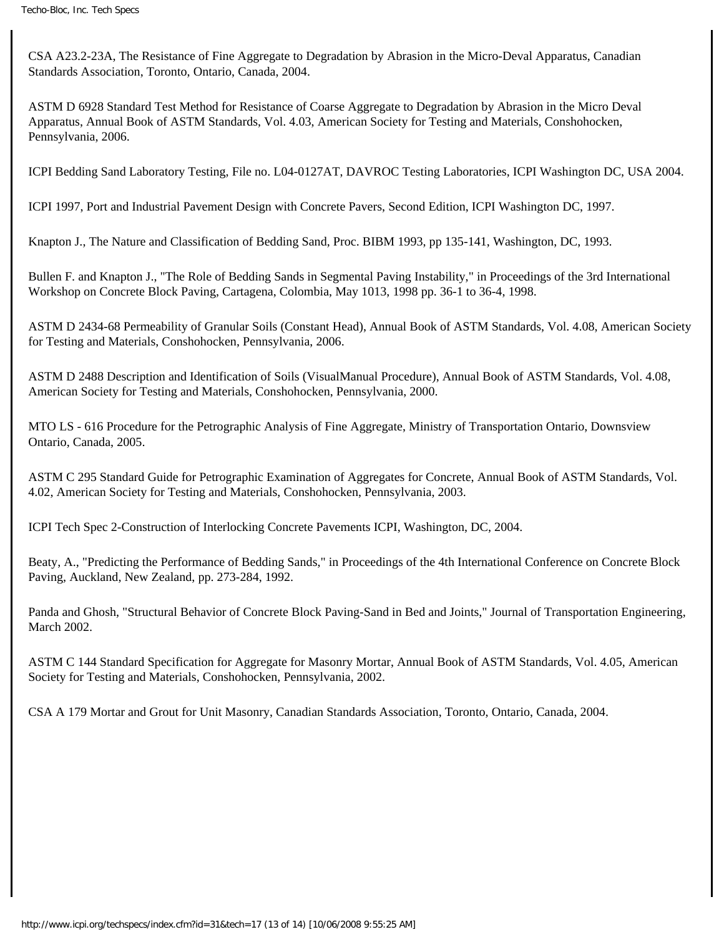CSA A23.2-23A, The Resistance of Fine Aggregate to Degradation by Abrasion in the Micro-Deval Apparatus, Canadian Standards Association, Toronto, Ontario, Canada, 2004.

ASTM D 6928 Standard Test Method for Resistance of Coarse Aggregate to Degradation by Abrasion in the Micro Deval Apparatus, Annual Book of ASTM Standards, Vol. 4.03, American Society for Testing and Materials, Conshohocken, Pennsylvania, 2006.

ICPI Bedding Sand Laboratory Testing, File no. L04-0127AT, DAVROC Testing Laboratories, ICPI Washington DC, USA 2004.

ICPI 1997, Port and Industrial Pavement Design with Concrete Pavers, Second Edition, ICPI Washington DC, 1997.

Knapton J., The Nature and Classification of Bedding Sand, Proc. BIBM 1993, pp 135-141, Washington, DC, 1993.

Bullen F. and Knapton J., "The Role of Bedding Sands in Segmental Paving Instability," in Proceedings of the 3rd International Workshop on Concrete Block Paving, Cartagena, Colombia, May 1013, 1998 pp. 36-1 to 36-4, 1998.

ASTM D 2434-68 Permeability of Granular Soils (Constant Head), Annual Book of ASTM Standards, Vol. 4.08, American Society for Testing and Materials, Conshohocken, Pennsylvania, 2006.

ASTM D 2488 Description and Identification of Soils (VisualManual Procedure), Annual Book of ASTM Standards, Vol. 4.08, American Society for Testing and Materials, Conshohocken, Pennsylvania, 2000.

MTO LS - 616 Procedure for the Petrographic Analysis of Fine Aggregate, Ministry of Transportation Ontario, Downsview Ontario, Canada, 2005.

ASTM C 295 Standard Guide for Petrographic Examination of Aggregates for Concrete, Annual Book of ASTM Standards, Vol. 4.02, American Society for Testing and Materials, Conshohocken, Pennsylvania, 2003.

ICPI Tech Spec 2-Construction of Interlocking Concrete Pavements ICPI, Washington, DC, 2004.

Beaty, A., "Predicting the Performance of Bedding Sands," in Proceedings of the 4th International Conference on Concrete Block Paving, Auckland, New Zealand, pp. 273-284, 1992.

Panda and Ghosh, "Structural Behavior of Concrete Block Paving-Sand in Bed and Joints," Journal of Transportation Engineering, March 2002.

ASTM C 144 Standard Specification for Aggregate for Masonry Mortar, Annual Book of ASTM Standards, Vol. 4.05, American Society for Testing and Materials, Conshohocken, Pennsylvania, 2002.

CSA A 179 Mortar and Grout for Unit Masonry, Canadian Standards Association, Toronto, Ontario, Canada, 2004.